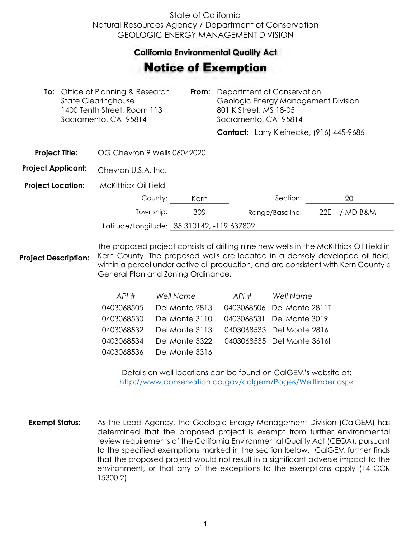## State of California Natural Resources Agency / Department of Conservation GEOLOGIC ENERGY MANAGEMENT DIVISION

## **California Environmental Quality Act**  California Environmental Quality Act

## Notice of Exemption **otice of Exemption**

| <b>To:</b> Office of Planning & Research<br><b>State Clearinghouse</b><br>1400 Tenth Street, Room 113<br>Sacramento, CA 95814 |  | From:                                      | Department of Conservation<br>Geologic Energy Management Division<br>801 K Street, MS 18-05<br>Sacramento, CA 95814 |  |                 |                                                 |  |
|-------------------------------------------------------------------------------------------------------------------------------|--|--------------------------------------------|---------------------------------------------------------------------------------------------------------------------|--|-----------------|-------------------------------------------------|--|
|                                                                                                                               |  |                                            |                                                                                                                     |  |                 | <b>Contact:</b> Larry Kleinecke, (916) 445-9686 |  |
| <b>Project Title:</b>                                                                                                         |  | OG Chevron 9 Wells 06042020                |                                                                                                                     |  |                 |                                                 |  |
| <b>Project Applicant:</b>                                                                                                     |  | Chevron U.S.A. Inc.                        |                                                                                                                     |  |                 |                                                 |  |
| <b>Project Location:</b>                                                                                                      |  | McKittrick Oil Field                       |                                                                                                                     |  |                 |                                                 |  |
|                                                                                                                               |  | County:                                    | Kern                                                                                                                |  | Section:        | 20                                              |  |
|                                                                                                                               |  | Township:                                  | 30S                                                                                                                 |  | Range/Baseline: | 22E<br>/ MD B&M                                 |  |
|                                                                                                                               |  | Latitude/Longitude: 35.310142, -119.637802 |                                                                                                                     |  |                 |                                                 |  |

**Project Description:** The proposed project consists of drilling nine new wells in the McKittrick Oil Field in Kern County. The proposed wells are located in a densely developed oil field, within a parcel under active oil production, and are consistent with Kern County's General Plan and Zoning Ordinance.

| API#       | <b>Well Name</b> | API# | <b>Well Name</b>           |
|------------|------------------|------|----------------------------|
| 0403068505 | Del Monte 2813I  |      | 0403068506 Del Monte 2811T |
| 0403068530 | Del Monte 3110I  |      | 0403068531 Del Monte 3019  |
| 0403068532 | Del Monte 3113   |      | 0403068533 Del Monte 2816  |
| 0403068534 | Del Monte 3322   |      | 0403068535 Del Monte 3616  |
| 0403068536 | Del Monte 3316   |      |                            |

Details on well locations can be found on CalGEM's website at: <http://www.conservation.ca.gov/calgem/Pages/Wellfinder.aspx>

**Exempt Status:** As the Lead Agency, the Geologic Energy Management Division (CalGEM) has determined that the proposed project is exempt from further environmental review requirements of the California Environmental Quality Act (CEQA), pursuant to the specified exemptions marked in the section below. CalGEM further finds that the proposed project would not result in a significant adverse impact to the environment, or that any of the exceptions to the exemptions apply (14 CCR 15300.2).